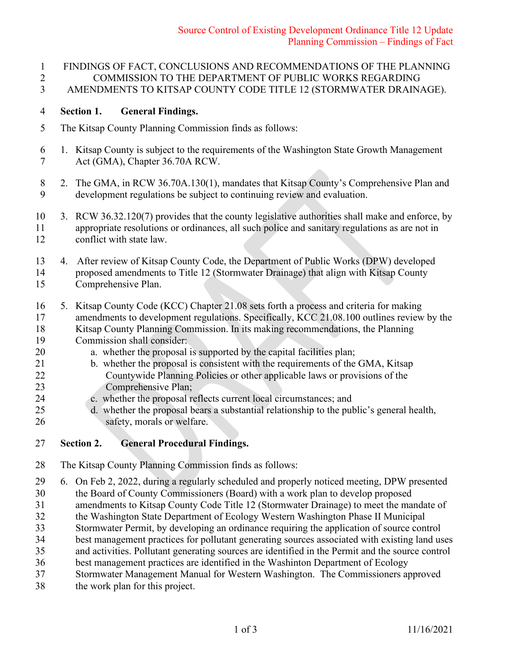FINDINGS OF FACT, CONCLUSIONS AND RECOMMENDATIONS OF THE PLANNING COMMISSION TO THE DEPARTMENT OF PUBLIC WORKS REGARDING AMENDMENTS TO KITSAP COUNTY CODE TITLE 12 (STORMWATER DRAINAGE).

### **Section 1. General Findings.**

- The Kitsap County Planning Commission finds as follows:
- 1. Kitsap County is subject to the requirements of the Washington State Growth Management Act (GMA), Chapter 36.70A RCW.
- 8 2. The GMA, in RCW 36.70A.130(1), mandates that Kitsap County's Comprehensive Plan and development regulations be subject to continuing review and evaluation. development regulations be subject to continuing review and evaluation.
- 3. RCW 36.32.120(7) provides that the county legislative authorities shall make and enforce, by appropriate resolutions or ordinances, all such police and sanitary regulations as are not in conflict with state law.
- 4. After review of Kitsap County Code, the Department of Public Works (DPW) developed proposed amendments to Title 12 (Stormwater Drainage) that align with Kitsap County Comprehensive Plan.
- 5. Kitsap County Code (KCC) Chapter 21.08 sets forth a process and criteria for making 17 amendments to development regulations. Specifically, KCC 21.08.100 outlines review by the Kitsap County Planning Commission. In its making recommendations, the Planning Commission shall consider:
- a. whether the proposal is supported by the capital facilities plan;
- 21 b. whether the proposal is consistent with the requirements of the GMA, Kitsap Countywide Planning Policies or other applicable laws or provisions of the Comprehensive Plan;
- c. whether the proposal reflects current local circumstances; and
- d. whether the proposal bears a substantial relationship to the public's general health, 26 safety, morals or welfare.
- **Section 2. General Procedural Findings.**
- The Kitsap County Planning Commission finds as follows:
- 6. On Feb 2, 2022, during a regularly scheduled and properly noticed meeting, DPW presented
- the Board of County Commissioners (Board) with a work plan to develop proposed
- amendments to Kitsap County Code Title 12 (Stormwater Drainage) to meet the mandate of
- the Washington State Department of Ecology Western Washington Phase II Municipal Stormwater Permit, by developing an ordinance requiring the application of source control
- best management practices for pollutant generating sources associated with existing land uses
- and activities. Pollutant generating sources are identified in the Permit and the source control
- best management practices are identified in the Washinton Department of Ecology
- Stormwater Management Manual for Western Washington. The Commissioners approved
- the work plan for this project.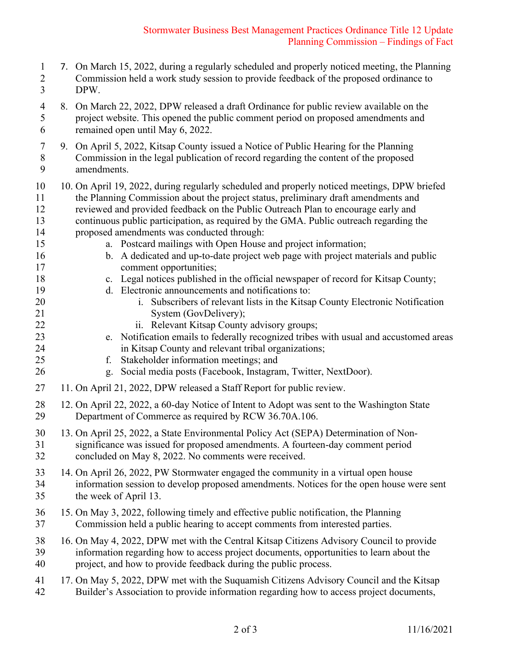### Stormwater Business Best Management Practices Ordinance Title 12 Update Planning Commission – Findings of Fact

 7. On March 15, 2022, during a regularly scheduled and properly noticed meeting, the Planning Commission held a work study session to provide feedback of the proposed ordinance to DPW. 8. On March 22, 2022, DPW released a draft Ordinance for public review available on the project website. This opened the public comment period on proposed amendments and remained open until May 6, 2022. 9. On April 5, 2022, Kitsap County issued a Notice of Public Hearing for the Planning Commission in the legal publication of record regarding the content of the proposed amendments. 10. On April 19, 2022, during regularly scheduled and properly noticed meetings, DPW briefed the Planning Commission about the project status, preliminary draft amendments and reviewed and provided feedback on the Public Outreach Plan to encourage early and continuous public participation, as required by the GMA. Public outreach regarding the proposed amendments was conducted through: a. Postcard mailings with Open House and project information; b. A dedicated and up-to-date project web page with project materials and public comment opportunities; c. Legal notices published in the official newspaper of record for Kitsap County; d. Electronic announcements and notifications to: i. Subscribers of relevant lists in the Kitsap County Electronic Notification 21 System (GovDelivery); ii. Relevant Kitsap County advisory groups; e. Notification emails to federally recognized tribes with usual and accustomed areas in Kitsap County and relevant tribal organizations; f. Stakeholder information meetings; and g. Social media posts (Facebook, Instagram, Twitter, NextDoor). 11. On April 21, 2022, DPW released a Staff Report for public review. 28 12. On April 22, 2022, a 60-day Notice of Intent to Adopt was sent to the Washington State<br>29 Department of Commerce as required by RCW 36.70A.106. Department of Commerce as required by RCW 36.70A.106. 13. On April 25, 2022, a State Environmental Policy Act (SEPA) Determination of Non- significance was issued for proposed amendments. A fourteen-day comment period concluded on May 8, 2022. No comments were received. 14. On April 26, 2022, PW Stormwater engaged the community in a virtual open house information session to develop proposed amendments. Notices for the open house were sent the week of April 13. 15. On May 3, 2022, following timely and effective public notification, the Planning Commission held a public hearing to accept comments from interested parties. 16. On May 4, 2022, DPW met with the Central Kitsap Citizens Advisory Council to provide information regarding how to access project documents, opportunities to learn about the project, and how to provide feedback during the public process. 17. On May 5, 2022, DPW met with the Suquamish Citizens Advisory Council and the Kitsap Builder's Association to provide information regarding how to access project documents,